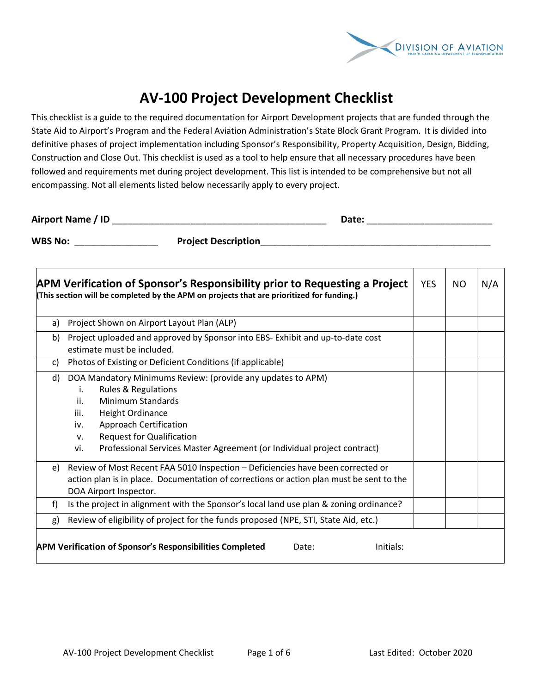

## **AV‐100 Project Development Checklist**

This checklist is a guide to the required documentation for Airport Development projects that are funded through the State Aid to Airport's Program and the Federal Aviation Administration's State Block Grant Program. It is divided into definitive phases of project implementation including Sponsor's Responsibility, Property Acquisition, Design, Bidding, Construction and Close Out. This checklist is used as a tool to help ensure that all necessary procedures have been followed and requirements met during project development. This list is intended to be comprehensive but not all encompassing. Not all elements listed below necessarily apply to every project.

| <b>Airport Name</b><br>ш |  |  |
|--------------------------|--|--|
|--------------------------|--|--|

WBS No: **Project Description** 

|    | APM Verification of Sponsor's Responsibility prior to Requesting a Project<br>(This section will be completed by the APM on projects that are prioritized for funding.)                                                                                                                                                                | <b>YES</b> | NO. | N/A |  |
|----|----------------------------------------------------------------------------------------------------------------------------------------------------------------------------------------------------------------------------------------------------------------------------------------------------------------------------------------|------------|-----|-----|--|
| a) | Project Shown on Airport Layout Plan (ALP)                                                                                                                                                                                                                                                                                             |            |     |     |  |
| b) | Project uploaded and approved by Sponsor into EBS- Exhibit and up-to-date cost<br>estimate must be included.                                                                                                                                                                                                                           |            |     |     |  |
| C) | Photos of Existing or Deficient Conditions (if applicable)                                                                                                                                                                                                                                                                             |            |     |     |  |
| d) | DOA Mandatory Minimums Review: (provide any updates to APM)<br><b>Rules &amp; Regulations</b><br>i.<br>ii.<br>Minimum Standards<br>iii.<br><b>Height Ordinance</b><br><b>Approach Certification</b><br>iv.<br><b>Request for Qualification</b><br>v.<br>Professional Services Master Agreement (or Individual project contract)<br>vi. |            |     |     |  |
| e) | Review of Most Recent FAA 5010 Inspection - Deficiencies have been corrected or<br>action plan is in place. Documentation of corrections or action plan must be sent to the<br>DOA Airport Inspector.                                                                                                                                  |            |     |     |  |
| f) | Is the project in alignment with the Sponsor's local land use plan & zoning ordinance?                                                                                                                                                                                                                                                 |            |     |     |  |
| g) | Review of eligibility of project for the funds proposed (NPE, STI, State Aid, etc.)                                                                                                                                                                                                                                                    |            |     |     |  |
|    | <b>APM Verification of Sponsor's Responsibilities Completed</b><br>Initials:<br>Date:                                                                                                                                                                                                                                                  |            |     |     |  |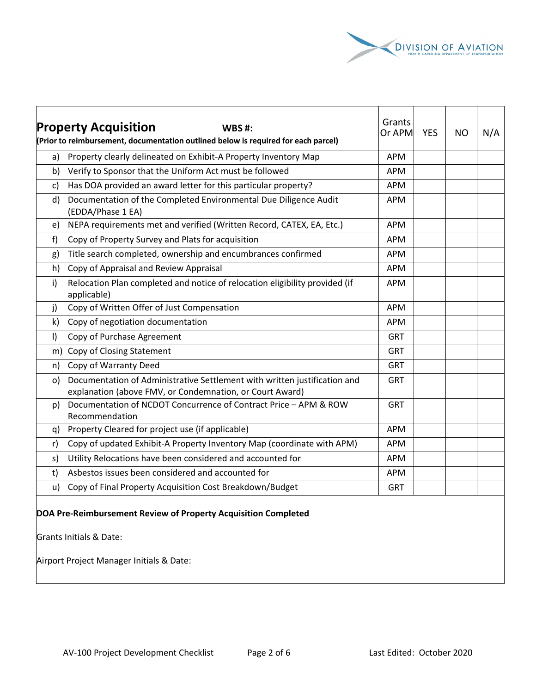

|              | <b>Property Acquisition</b><br>WBS #:<br>(Prior to reimbursement, documentation outlined below is required for each parcel)           | Grants<br>Or APM | <b>YES</b> | <b>NO</b> | N/A |
|--------------|---------------------------------------------------------------------------------------------------------------------------------------|------------------|------------|-----------|-----|
| a)           | Property clearly delineated on Exhibit-A Property Inventory Map                                                                       | <b>APM</b>       |            |           |     |
| b)           | Verify to Sponsor that the Uniform Act must be followed                                                                               | <b>APM</b>       |            |           |     |
| c)           | Has DOA provided an award letter for this particular property?                                                                        | <b>APM</b>       |            |           |     |
| d)           | Documentation of the Completed Environmental Due Diligence Audit<br>(EDDA/Phase 1 EA)                                                 | <b>APM</b>       |            |           |     |
| e)           | NEPA requirements met and verified (Written Record, CATEX, EA, Etc.)                                                                  | <b>APM</b>       |            |           |     |
| f            | Copy of Property Survey and Plats for acquisition                                                                                     | <b>APM</b>       |            |           |     |
| g)           | Title search completed, ownership and encumbrances confirmed                                                                          | <b>APM</b>       |            |           |     |
| h)           | Copy of Appraisal and Review Appraisal                                                                                                | <b>APM</b>       |            |           |     |
| i)           | Relocation Plan completed and notice of relocation eligibility provided (if<br>applicable)                                            | <b>APM</b>       |            |           |     |
| j)           | Copy of Written Offer of Just Compensation                                                                                            | <b>APM</b>       |            |           |     |
| $\mathsf{k}$ | Copy of negotiation documentation                                                                                                     | <b>APM</b>       |            |           |     |
| $\vert$      | Copy of Purchase Agreement                                                                                                            | <b>GRT</b>       |            |           |     |
| m)           | Copy of Closing Statement                                                                                                             | <b>GRT</b>       |            |           |     |
| n)           | Copy of Warranty Deed                                                                                                                 | <b>GRT</b>       |            |           |     |
| O)           | Documentation of Administrative Settlement with written justification and<br>explanation (above FMV, or Condemnation, or Court Award) | <b>GRT</b>       |            |           |     |
| p)           | Documentation of NCDOT Concurrence of Contract Price - APM & ROW<br>Recommendation                                                    | <b>GRT</b>       |            |           |     |
| a)           | Property Cleared for project use (if applicable)                                                                                      | <b>APM</b>       |            |           |     |
| r)           | Copy of updated Exhibit-A Property Inventory Map (coordinate with APM)                                                                | <b>APM</b>       |            |           |     |
| s)           | Utility Relocations have been considered and accounted for                                                                            | <b>APM</b>       |            |           |     |
| t)           | Asbestos issues been considered and accounted for                                                                                     | <b>APM</b>       |            |           |     |
| u)           | Copy of Final Property Acquisition Cost Breakdown/Budget                                                                              | <b>GRT</b>       |            |           |     |
|              | DOA Pre-Reimbursement Review of Property Acquisition Completed                                                                        |                  |            |           |     |

Grants Initials & Date:

Airport Project Manager Initials & Date: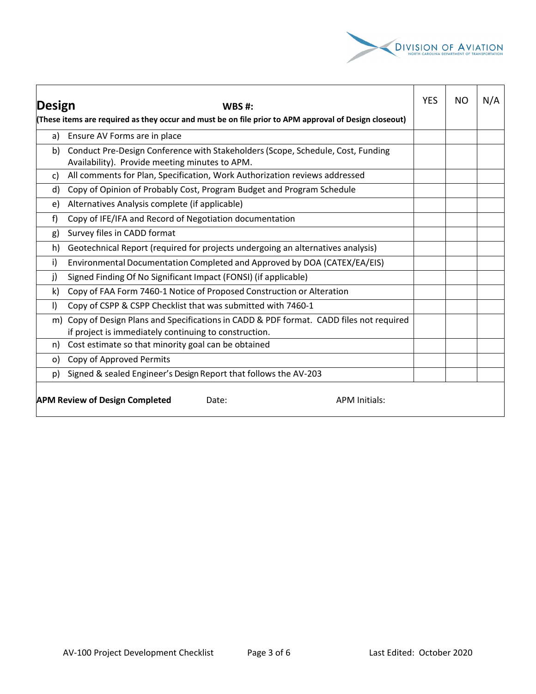

┱

┯

|         |                                                                                                                                                | YES | NO | N/A |  |  |
|---------|------------------------------------------------------------------------------------------------------------------------------------------------|-----|----|-----|--|--|
| Design  | WBS #:                                                                                                                                         |     |    |     |  |  |
|         | (These items are required as they occur and must be on file prior to APM approval of Design closeout)                                          |     |    |     |  |  |
| a)      | Ensure AV Forms are in place                                                                                                                   |     |    |     |  |  |
| b)      | Conduct Pre-Design Conference with Stakeholders (Scope, Schedule, Cost, Funding<br>Availability). Provide meeting minutes to APM.              |     |    |     |  |  |
| C)      | All comments for Plan, Specification, Work Authorization reviews addressed                                                                     |     |    |     |  |  |
| d)      | Copy of Opinion of Probably Cost, Program Budget and Program Schedule                                                                          |     |    |     |  |  |
| e)      | Alternatives Analysis complete (if applicable)                                                                                                 |     |    |     |  |  |
| f)      | Copy of IFE/IFA and Record of Negotiation documentation                                                                                        |     |    |     |  |  |
| g)      | Survey files in CADD format                                                                                                                    |     |    |     |  |  |
| h)      | Geotechnical Report (required for projects undergoing an alternatives analysis)                                                                |     |    |     |  |  |
| i)      | Environmental Documentation Completed and Approved by DOA (CATEX/EA/EIS)                                                                       |     |    |     |  |  |
| j)      | Signed Finding Of No Significant Impact (FONSI) (if applicable)                                                                                |     |    |     |  |  |
| k)      | Copy of FAA Form 7460-1 Notice of Proposed Construction or Alteration                                                                          |     |    |     |  |  |
| $\vert$ | Copy of CSPP & CSPP Checklist that was submitted with 7460-1                                                                                   |     |    |     |  |  |
| m)      | Copy of Design Plans and Specifications in CADD & PDF format. CADD files not required<br>if project is immediately continuing to construction. |     |    |     |  |  |
| n)      | Cost estimate so that minority goal can be obtained                                                                                            |     |    |     |  |  |
| o)      | Copy of Approved Permits                                                                                                                       |     |    |     |  |  |
| p)      | Signed & sealed Engineer's Design Report that follows the AV-203                                                                               |     |    |     |  |  |
|         | <b>APM Review of Design Completed</b><br><b>APM Initials:</b><br>Date:                                                                         |     |    |     |  |  |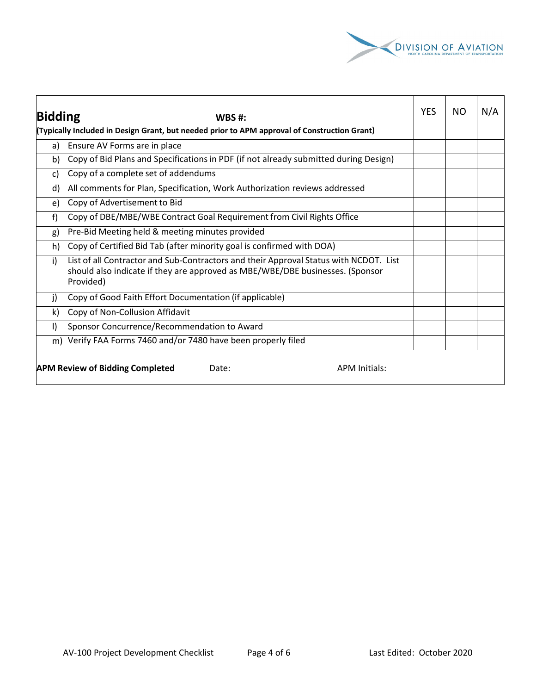

| <b>Bidding</b><br>WBS #:<br>(Typically Included in Design Grant, but needed prior to APM approval of Construction Grant) |                                                                                                                                                                                     | <b>YES</b> | NO. | N/A |
|--------------------------------------------------------------------------------------------------------------------------|-------------------------------------------------------------------------------------------------------------------------------------------------------------------------------------|------------|-----|-----|
| a)                                                                                                                       | Ensure AV Forms are in place                                                                                                                                                        |            |     |     |
| b)                                                                                                                       | Copy of Bid Plans and Specifications in PDF (if not already submitted during Design)                                                                                                |            |     |     |
| C)                                                                                                                       | Copy of a complete set of addendums                                                                                                                                                 |            |     |     |
| d)                                                                                                                       | All comments for Plan, Specification, Work Authorization reviews addressed                                                                                                          |            |     |     |
| e)                                                                                                                       | Copy of Advertisement to Bid                                                                                                                                                        |            |     |     |
| f                                                                                                                        | Copy of DBE/MBE/WBE Contract Goal Requirement from Civil Rights Office                                                                                                              |            |     |     |
| g)                                                                                                                       | Pre-Bid Meeting held & meeting minutes provided                                                                                                                                     |            |     |     |
| h)                                                                                                                       | Copy of Certified Bid Tab (after minority goal is confirmed with DOA)                                                                                                               |            |     |     |
| i)                                                                                                                       | List of all Contractor and Sub-Contractors and their Approval Status with NCDOT. List<br>should also indicate if they are approved as MBE/WBE/DBE businesses. (Sponsor<br>Provided) |            |     |     |
| j)                                                                                                                       | Copy of Good Faith Effort Documentation (if applicable)                                                                                                                             |            |     |     |
| k)                                                                                                                       | Copy of Non-Collusion Affidavit                                                                                                                                                     |            |     |     |
| $\mathbf{D}$                                                                                                             | Sponsor Concurrence/Recommendation to Award                                                                                                                                         |            |     |     |
|                                                                                                                          | m) Verify FAA Forms 7460 and/or 7480 have been properly filed                                                                                                                       |            |     |     |
|                                                                                                                          | <b>APM Review of Bidding Completed</b><br><b>APM Initials:</b><br>Date:                                                                                                             |            |     |     |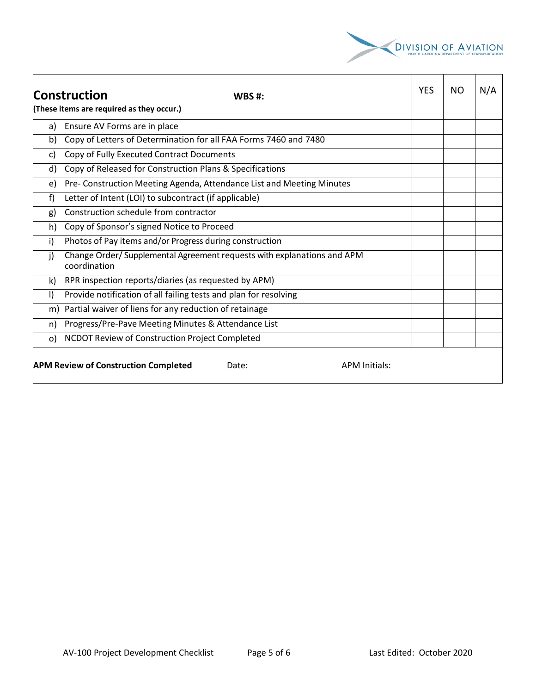

|              | <b>Construction</b><br><b>WBS#:</b>                                                     | <b>YES</b> | ΝO | N/A |
|--------------|-----------------------------------------------------------------------------------------|------------|----|-----|
|              | (These items are required as they occur.)                                               |            |    |     |
| a)           | Ensure AV Forms are in place                                                            |            |    |     |
| b)           | Copy of Letters of Determination for all FAA Forms 7460 and 7480                        |            |    |     |
| C)           | Copy of Fully Executed Contract Documents                                               |            |    |     |
| d)           | Copy of Released for Construction Plans & Specifications                                |            |    |     |
| e)           | Pre- Construction Meeting Agenda, Attendance List and Meeting Minutes                   |            |    |     |
| f)           | Letter of Intent (LOI) to subcontract (if applicable)                                   |            |    |     |
| g)           | Construction schedule from contractor                                                   |            |    |     |
| h)           | Copy of Sponsor's signed Notice to Proceed                                              |            |    |     |
| i)           | Photos of Pay items and/or Progress during construction                                 |            |    |     |
| $\mathbf{j}$ | Change Order/ Supplemental Agreement requests with explanations and APM<br>coordination |            |    |     |
| k)           | RPR inspection reports/diaries (as requested by APM)                                    |            |    |     |
| $\vert$      | Provide notification of all failing tests and plan for resolving                        |            |    |     |
|              | m) Partial waiver of liens for any reduction of retainage                               |            |    |     |
| n)           | Progress/Pre-Pave Meeting Minutes & Attendance List                                     |            |    |     |
| $\Omega$     | NCDOT Review of Construction Project Completed                                          |            |    |     |
|              | <b>APM Review of Construction Completed</b><br><b>APM Initials:</b><br>Date:            |            |    |     |